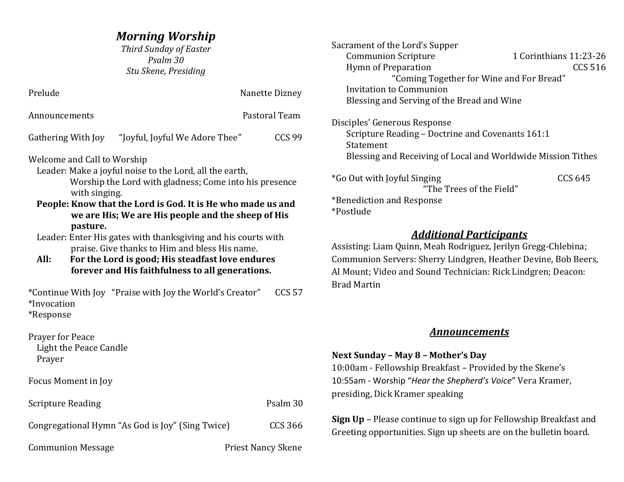*Third Sunday of Easter Psalm 30 Stu Skene, Presiding*

| Prelude                                                                                                                                                                                                                                                                                                                                                                                                                                                                                                                               |                                                          | Nanette Dizney            |  |
|---------------------------------------------------------------------------------------------------------------------------------------------------------------------------------------------------------------------------------------------------------------------------------------------------------------------------------------------------------------------------------------------------------------------------------------------------------------------------------------------------------------------------------------|----------------------------------------------------------|---------------------------|--|
| Announcements                                                                                                                                                                                                                                                                                                                                                                                                                                                                                                                         |                                                          | Pastoral Team             |  |
| Gathering With Joy                                                                                                                                                                                                                                                                                                                                                                                                                                                                                                                    | "Joyful, Joyful We Adore Thee"                           | <b>CCS 99</b>             |  |
| Welcome and Call to Worship<br>Leader: Make a joyful noise to the Lord, all the earth,<br>Worship the Lord with gladness; Come into his presence<br>with singing.<br>People: Know that the Lord is God. It is He who made us and<br>we are His; We are His people and the sheep of His<br>pasture.<br>Leader: Enter His gates with thanksgiving and his courts with<br>praise. Give thanks to Him and bless His name.<br>All:<br>For the Lord is good; His steadfast love endures<br>forever and His faithfulness to all generations. |                                                          |                           |  |
| *Invocation<br>*Response                                                                                                                                                                                                                                                                                                                                                                                                                                                                                                              | *Continue With Joy "Praise with Joy the World's Creator" | <b>CCS 57</b>             |  |
| <b>Prayer for Peace</b><br>Light the Peace Candle<br>Prayer                                                                                                                                                                                                                                                                                                                                                                                                                                                                           |                                                          |                           |  |
| Focus Moment in Joy                                                                                                                                                                                                                                                                                                                                                                                                                                                                                                                   |                                                          |                           |  |
| <b>Scripture Reading</b>                                                                                                                                                                                                                                                                                                                                                                                                                                                                                                              |                                                          | Psalm 30                  |  |
|                                                                                                                                                                                                                                                                                                                                                                                                                                                                                                                                       | Congregational Hymn "As God is Joy" (Sing Twice)         | <b>CCS 366</b>            |  |
| <b>Communion Message</b>                                                                                                                                                                                                                                                                                                                                                                                                                                                                                                              |                                                          | <b>Priest Nancy Skene</b> |  |

| Sacrament of the Lord's Supper                               |                        |
|--------------------------------------------------------------|------------------------|
| <b>Communion Scripture</b>                                   | 1 Corinthians 11:23-26 |
| <b>Hymn of Preparation</b>                                   | <b>CCS 516</b>         |
| "Coming Together for Wine and For Bread"                     |                        |
| Invitation to Communion                                      |                        |
| Blessing and Serving of the Bread and Wine                   |                        |
| Disciples' Generous Response                                 |                        |
| Scripture Reading – Doctrine and Covenants 161:1             |                        |
| Statement                                                    |                        |
| Blessing and Receiving of Local and Worldwide Mission Tithes |                        |
| *Go Out with Joyful Singing                                  | CCS 645                |
| "The Trees of the Field"                                     |                        |
| *Benediction and Response                                    |                        |
| *Postlude                                                    |                        |
| .                                                            |                        |

## *Additional Participants*

Assisting: Liam Quinn, Meah Rodriguez, Jerilyn Gregg-Chlebina; Communion Servers: Sherry Lindgren, Heather Devine, Bob Beers, Al Mount; Video and Sound Technician: Rick Lindgren; Deacon: Brad Martin

## *Announcements*

## **Next Sunday – May 8 – Mother's Day** 10:00am - Fellowship Breakfast – Provided by the Skene's 10:55am - Worship "*Hear the Shepherd's Voice*" Vera Kramer, presiding, Dick Kramer speaking

**Sign Up** – Please continue to sign up for Fellowship Breakfast and Greeting opportunities. Sign up sheets are on the bulletin board.